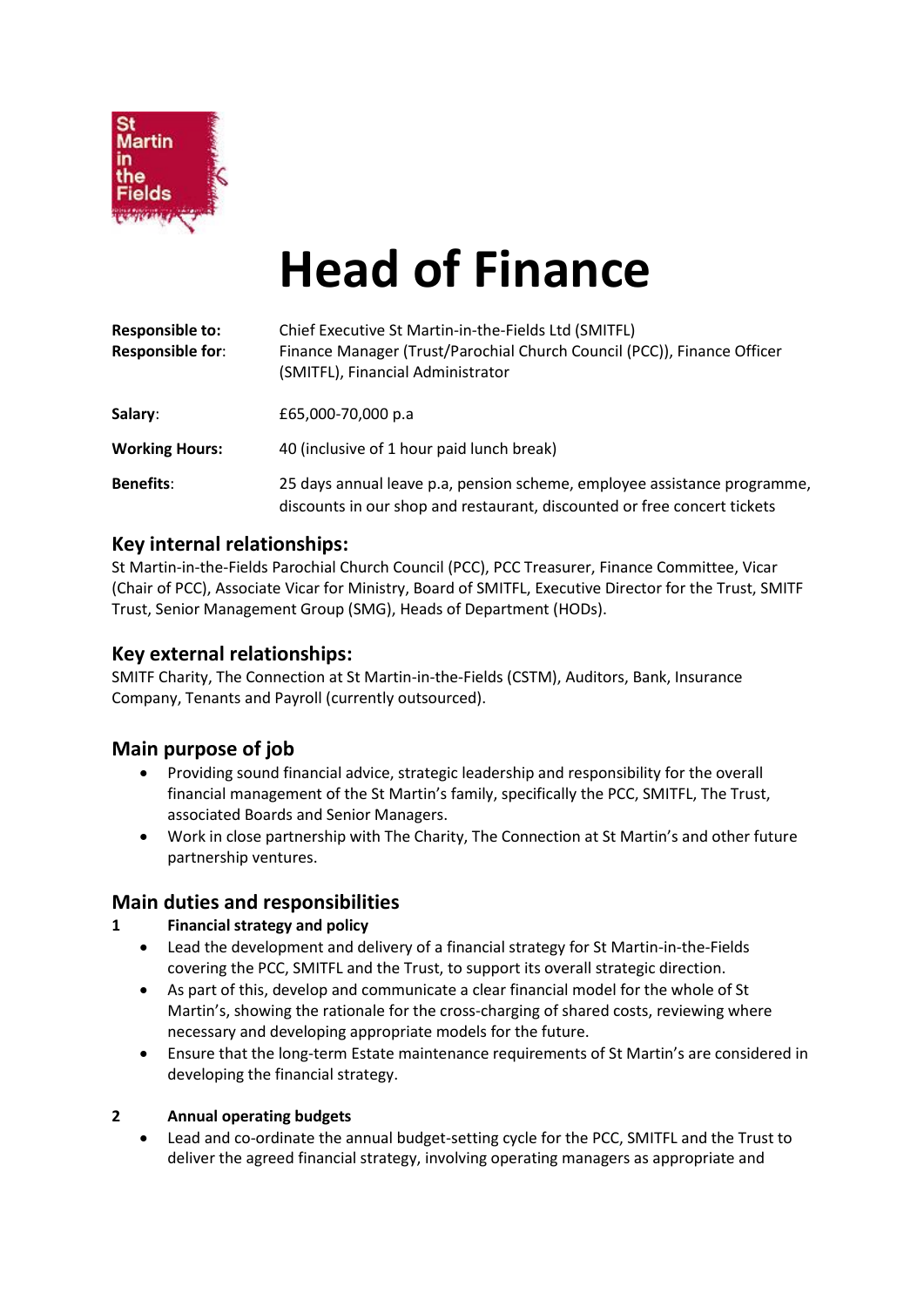

# **Head of Finance**

| <b>Responsible to:</b><br><b>Responsible for:</b> | Chief Executive St Martin-in-the-Fields Ltd (SMITFL)<br>Finance Manager (Trust/Parochial Church Council (PCC)), Finance Officer<br>(SMITFL), Financial Administrator |
|---------------------------------------------------|----------------------------------------------------------------------------------------------------------------------------------------------------------------------|
| Salary:                                           | £65,000-70,000 p.a                                                                                                                                                   |
| <b>Working Hours:</b>                             | 40 (inclusive of 1 hour paid lunch break)                                                                                                                            |
| <b>Benefits:</b>                                  | 25 days annual leave p.a, pension scheme, employee assistance programme,<br>discounts in our shop and restaurant, discounted or free concert tickets                 |

#### **Key internal relationships:**

St Martin-in-the-Fields Parochial Church Council (PCC), PCC Treasurer, Finance Committee, Vicar (Chair of PCC), Associate Vicar for Ministry, Board of SMITFL, Executive Director for the Trust, SMITF Trust, Senior Management Group (SMG), Heads of Department (HODs).

#### **Key external relationships:**

SMITF Charity, The Connection at St Martin-in-the-Fields (CSTM), Auditors, Bank, Insurance Company, Tenants and Payroll (currently outsourced).

## **Main purpose of job**

- Providing sound financial advice, strategic leadership and responsibility for the overall financial management of the St Martin's family, specifically the PCC, SMITFL, The Trust, associated Boards and Senior Managers.
- Work in close partnership with The Charity, The Connection at St Martin's and other future partnership ventures.

## **Main duties and responsibilities**

#### **1 Financial strategy and policy**

- Lead the development and delivery of a financial strategy for St Martin-in-the-Fields covering the PCC, SMITFL and the Trust, to support its overall strategic direction.
- As part of this, develop and communicate a clear financial model for the whole of St Martin's, showing the rationale for the cross-charging of shared costs, reviewing where necessary and developing appropriate models for the future.
- Ensure that the long-term Estate maintenance requirements of St Martin's are considered in developing the financial strategy.

#### **2 Annual operating budgets**

• Lead and co-ordinate the annual budget-setting cycle for the PCC, SMITFL and the Trust to deliver the agreed financial strategy, involving operating managers as appropriate and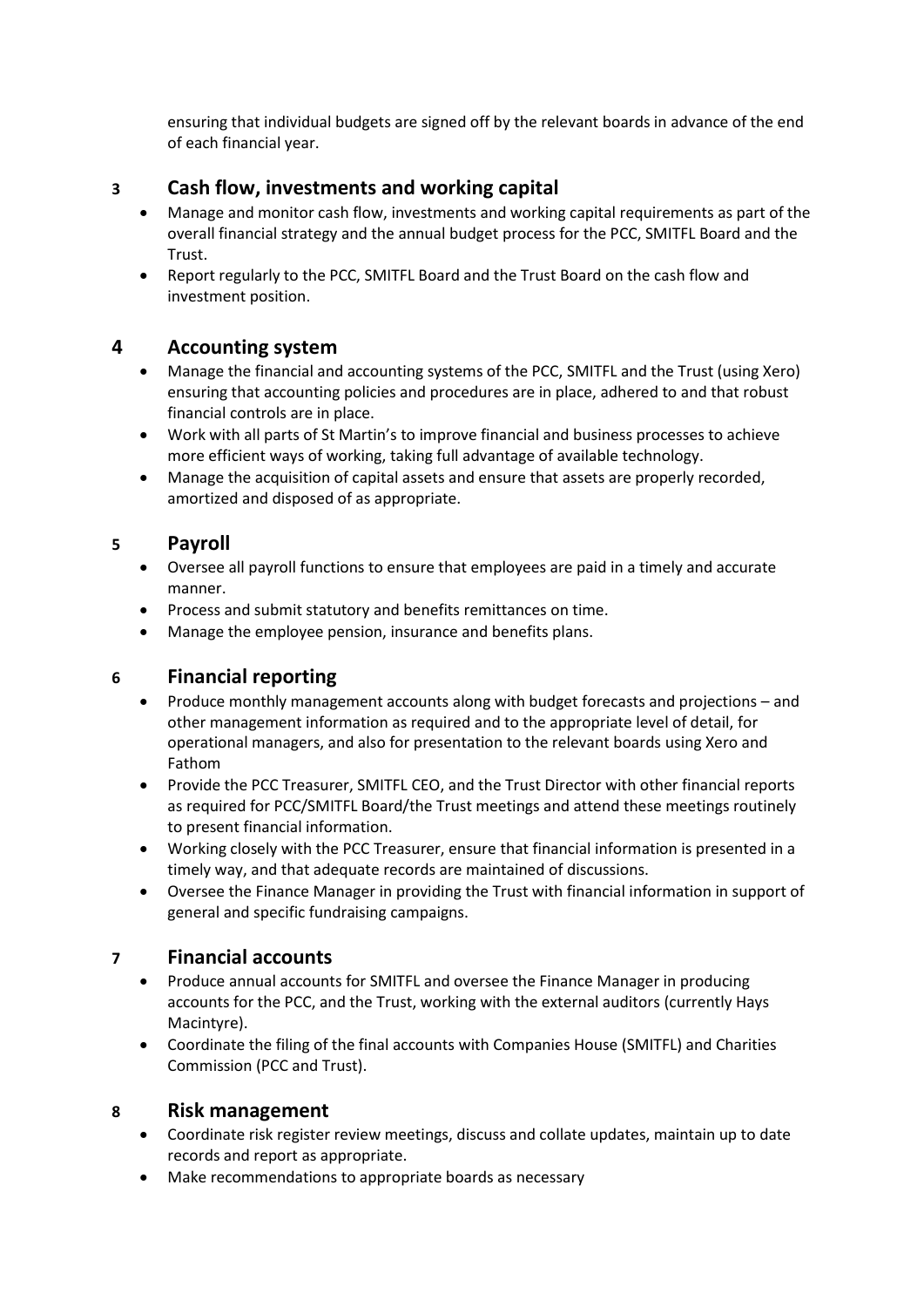ensuring that individual budgets are signed off by the relevant boards in advance of the end of each financial year.

# **3 Cash flow, investments and working capital**

- Manage and monitor cash flow, investments and working capital requirements as part of the overall financial strategy and the annual budget process for the PCC, SMITFL Board and the Trust.
- Report regularly to the PCC, SMITFL Board and the Trust Board on the cash flow and investment position.

# **4 Accounting system**

- Manage the financial and accounting systems of the PCC, SMITFL and the Trust (using Xero) ensuring that accounting policies and procedures are in place, adhered to and that robust financial controls are in place.
- Work with all parts of St Martin's to improve financial and business processes to achieve more efficient ways of working, taking full advantage of available technology.
- Manage the acquisition of capital assets and ensure that assets are properly recorded, amortized and disposed of as appropriate.

#### **5 Payroll**

- Oversee all payroll functions to ensure that employees are paid in a timely and accurate manner.
- Process and submit statutory and benefits remittances on time.
- Manage the employee pension, insurance and benefits plans.

## **6 Financial reporting**

- Produce monthly management accounts along with budget forecasts and projections and other management information as required and to the appropriate level of detail, for operational managers, and also for presentation to the relevant boards using Xero and Fathom
- Provide the PCC Treasurer, SMITFL CEO, and the Trust Director with other financial reports as required for PCC/SMITFL Board/the Trust meetings and attend these meetings routinely to present financial information.
- Working closely with the PCC Treasurer, ensure that financial information is presented in a timely way, and that adequate records are maintained of discussions.
- Oversee the Finance Manager in providing the Trust with financial information in support of general and specific fundraising campaigns.

## **7 Financial accounts**

- Produce annual accounts for SMITFL and oversee the Finance Manager in producing accounts for the PCC, and the Trust, working with the external auditors (currently Hays Macintyre).
- Coordinate the filing of the final accounts with Companies House (SMITFL) and Charities Commission (PCC and Trust).

## **8 Risk management**

- Coordinate risk register review meetings, discuss and collate updates, maintain up to date records and report as appropriate.
- Make recommendations to appropriate boards as necessary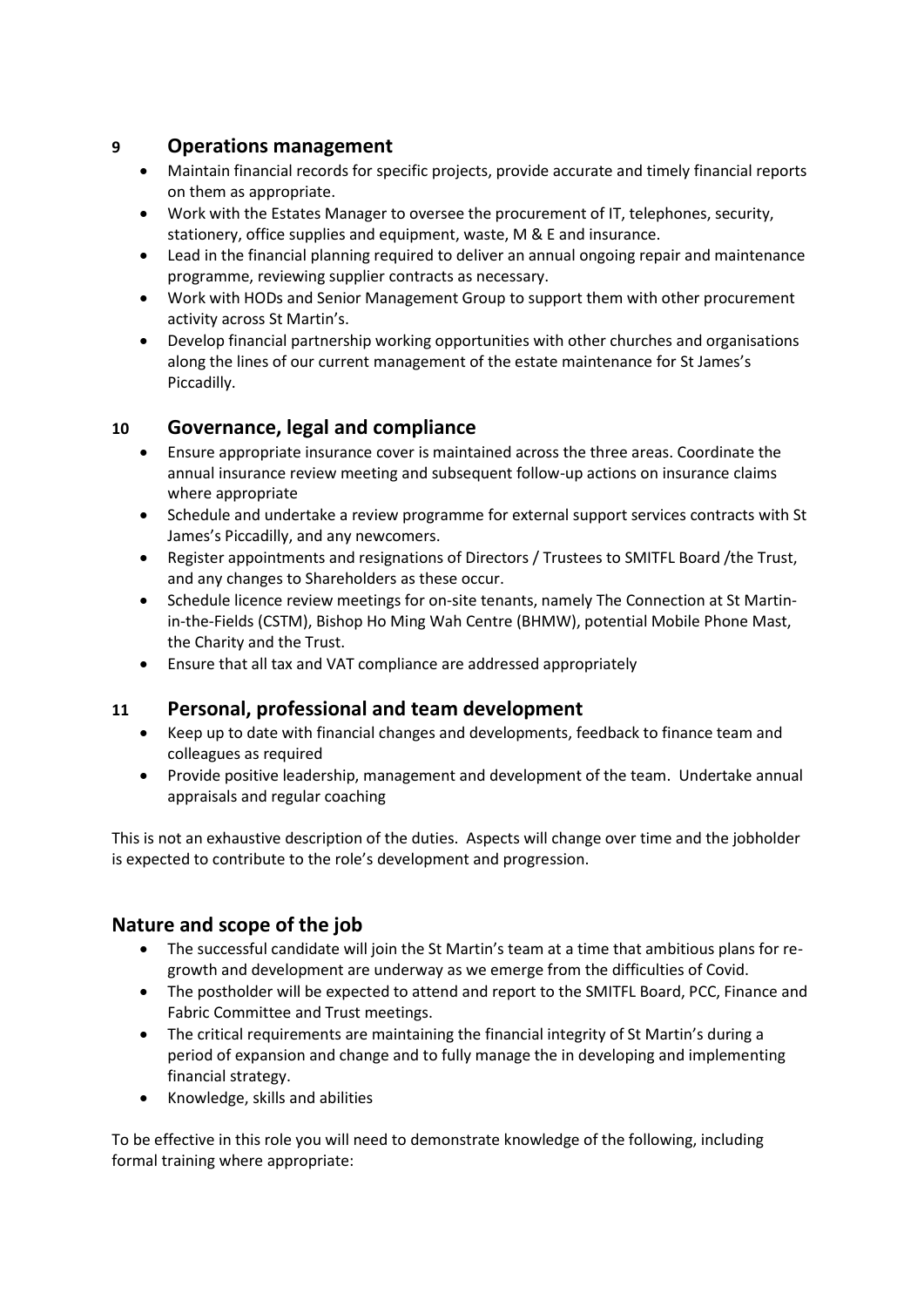## **9 Operations management**

- Maintain financial records for specific projects, provide accurate and timely financial reports on them as appropriate.
- Work with the Estates Manager to oversee the procurement of IT, telephones, security, stationery, office supplies and equipment, waste, M & E and insurance.
- Lead in the financial planning required to deliver an annual ongoing repair and maintenance programme, reviewing supplier contracts as necessary.
- Work with HODs and Senior Management Group to support them with other procurement activity across St Martin's.
- Develop financial partnership working opportunities with other churches and organisations along the lines of our current management of the estate maintenance for St James's Piccadilly.

# **10 Governance, legal and compliance**

- Ensure appropriate insurance cover is maintained across the three areas. Coordinate the annual insurance review meeting and subsequent follow-up actions on insurance claims where appropriate
- Schedule and undertake a review programme for external support services contracts with St James's Piccadilly, and any newcomers.
- Register appointments and resignations of Directors / Trustees to SMITFL Board /the Trust, and any changes to Shareholders as these occur.
- Schedule licence review meetings for on-site tenants, namely The Connection at St Martinin-the-Fields (CSTM), Bishop Ho Ming Wah Centre (BHMW), potential Mobile Phone Mast, the Charity and the Trust.
- Ensure that all tax and VAT compliance are addressed appropriately

## **11 Personal, professional and team development**

- Keep up to date with financial changes and developments, feedback to finance team and colleagues as required
- Provide positive leadership, management and development of the team. Undertake annual appraisals and regular coaching

This is not an exhaustive description of the duties. Aspects will change over time and the jobholder is expected to contribute to the role's development and progression.

# **Nature and scope of the job**

- The successful candidate will join the St Martin's team at a time that ambitious plans for regrowth and development are underway as we emerge from the difficulties of Covid.
- The postholder will be expected to attend and report to the SMITFL Board, PCC, Finance and Fabric Committee and Trust meetings.
- The critical requirements are maintaining the financial integrity of St Martin's during a period of expansion and change and to fully manage the in developing and implementing financial strategy.
- Knowledge, skills and abilities

To be effective in this role you will need to demonstrate knowledge of the following, including formal training where appropriate: